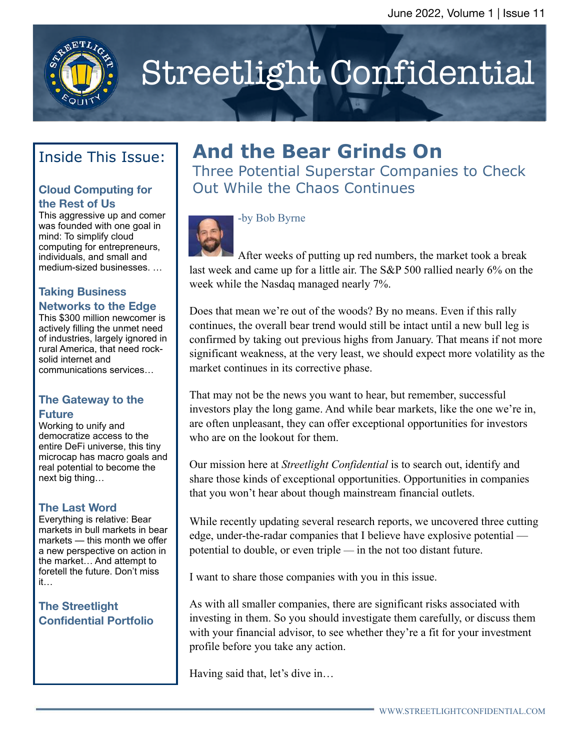

# Streetlight Confidential

## Inside This Issue:

#### **Cloud Computing for the Rest of Us**

This aggressive up and comer was founded with one goal in mind: To simplify cloud computing for entrepreneurs, individuals, and small and medium-sized businesses. …

#### **Taking Business Networks to the Edge**

This \$300 million newcomer is actively filling the unmet need of industries, largely ignored in rural America, that need rocksolid internet and communications services…

#### **The Gateway to the Future**

Working to unify and democratize access to the entire DeFi universe, this tiny microcap has macro goals and real potential to become the next big thing…

#### **The Last Word**

Everything is relative: Bear markets in bull markets in bear markets — this month we offer a new perspective on action in the market… And attempt to foretell the future. Don't miss it…

#### **The Streetlight Confidential Portfolio**

## **And the Bear Grinds On**

Three Potential Superstar Companies to Check Out While the Chaos Continues



#### -by Bob Byrne

After weeks of putting up red numbers, the market took a break last week and came up for a little air. The S&P 500 rallied nearly 6% on the week while the Nasdaq managed nearly 7%.

Does that mean we're out of the woods? By no means. Even if this rally continues, the overall bear trend would still be intact until a new bull leg is confirmed by taking out previous highs from January. That means if not more significant weakness, at the very least, we should expect more volatility as the market continues in its corrective phase.

That may not be the news you want to hear, but remember, successful investors play the long game. And while bear markets, like the one we're in, are often unpleasant, they can offer exceptional opportunities for investors who are on the lookout for them.

Our mission here at *Streetlight Confidential* is to search out, identify and share those kinds of exceptional opportunities. Opportunities in companies that you won't hear about though mainstream financial outlets.

While recently updating several research reports, we uncovered three cutting edge, under-the-radar companies that I believe have explosive potential potential to double, or even triple — in the not too distant future.

I want to share those companies with you in this issue.

As with all smaller companies, there are significant risks associated with investing in them. So you should investigate them carefully, or discuss them with your financial advisor, to see whether they're a fit for your investment profile before you take any action.

Having said that, let's dive in…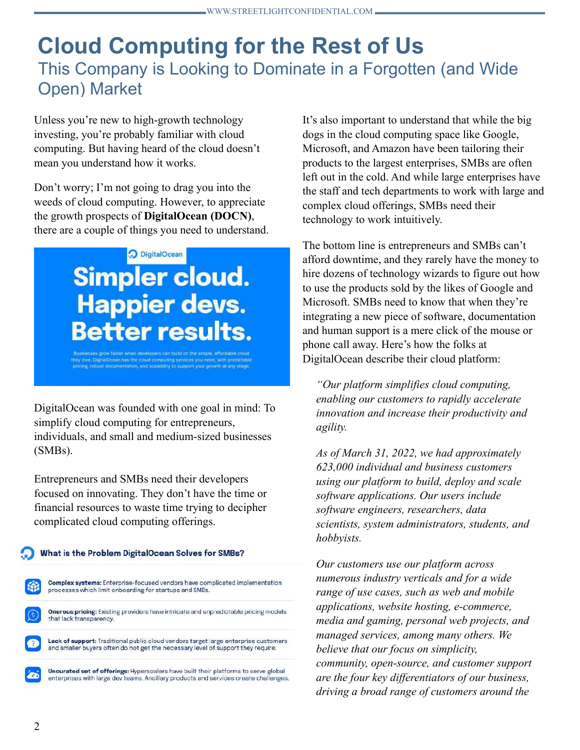## **Cloud Computing for the Rest of Us** This Company is Looking to Dominate in a Forgotten (and Wide Open) Market

Unless you're new to high-growth technology investing, you're probably familiar with cloud computing. But having heard of the cloud doesn't mean you understand how it works.

Don't worry; I'm not going to drag you into the weeds of cloud computing. However, to appreciate the growth prospects of **DigitalOcean (DOCN)**, there are a couple of things you need to understand.

O DigitalOcean

## **Simpler cloud. Happier devs. Better results.**

DigitalOcean has the cloud computing services you need, with predictable , robust documentation, and scalability to support your growth at any stage

DigitalOcean was founded with one goal in mind: To simplify cloud computing for entrepreneurs, individuals, and small and medium-sized businesses (SMBs).

Entrepreneurs and SMBs need their developers focused on innovating. They don't have the time or financial resources to waste time trying to decipher complicated cloud computing offerings.

#### What is the Problem DigitalOcean Solves for SMBs?

Complex systems: Enterprise-focused vendors have complicated implementation processes which limit onboarding for startups and SMBs. Onerous pricing: Existing providers have intricate and unpredictable pricing models

Lack of support: Traditional public cloud vendors target large enterprise customers and smaller buyers often do not get the necessary level of support they require.

Uncurated set of offerings: Hyperscalers have built their platforms to serve global enterprises with large dev teams. Ancillary products and services create challenges.

It's also important to understand that while the big dogs in the cloud computing space like Google, Microsoft, and Amazon have been tailoring their products to the largest enterprises, SMBs are often left out in the cold. And while large enterprises have the staff and tech departments to work with large and complex cloud offerings, SMBs need their technology to work intuitively.

The bottom line is entrepreneurs and SMBs can't afford downtime, and they rarely have the money to hire dozens of technology wizards to figure out how to use the products sold by the likes of Google and Microsoft. SMBs need to know that when they're integrating a new piece of software, documentation and human support is a mere click of the mouse or phone call away. Here's how the folks at DigitalOcean describe their cloud platform:

*"Our platform simplifies cloud computing, enabling our customers to rapidly accelerate innovation and increase their productivity and agility.* 

*As of March 31, 2022, we had approximately 623,000 individual and business customers using our platform to build, deploy and scale software applications. Our users include software engineers, researchers, data scientists, system administrators, students, and hobbyists.* 

*Our customers use our platform across numerous industry verticals and for a wide range of use cases, such as web and mobile applications, website hosting, e-commerce, media and gaming, personal web projects, and managed services, among many others. We believe that our focus on simplicity, community, open-source, and customer support are the four key differentiators of our business, driving a broad range of customers around the* 

that lack transparency.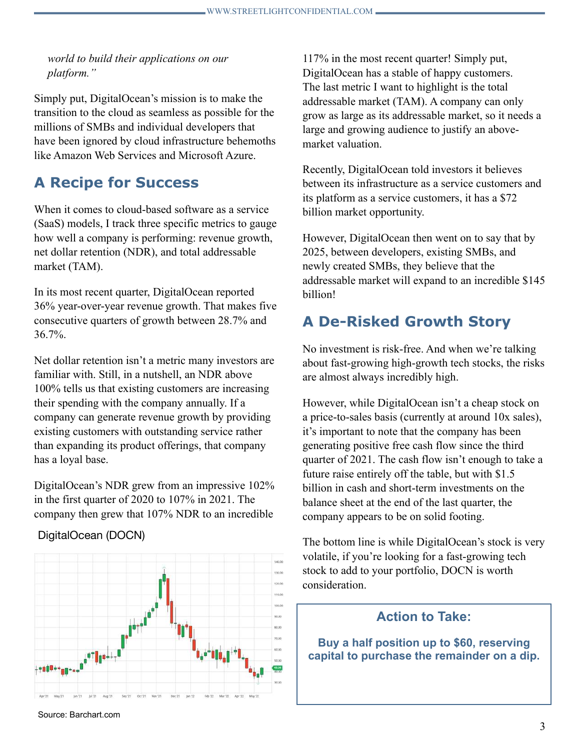*world to build their applications on our platform."*

Simply put, DigitalOcean's mission is to make the transition to the cloud as seamless as possible for the millions of SMBs and individual developers that have been ignored by cloud infrastructure behemoths like Amazon Web Services and Microsoft Azure.

#### **A Recipe for Success**

When it comes to cloud-based software as a service (SaaS) models, I track three specific metrics to gauge how well a company is performing: revenue growth, net dollar retention (NDR), and total addressable market (TAM).

In its most recent quarter, DigitalOcean reported 36% year-over-year revenue growth. That makes five consecutive quarters of growth between 28.7% and 36.7%.

Net dollar retention isn't a metric many investors are familiar with. Still, in a nutshell, an NDR above 100% tells us that existing customers are increasing their spending with the company annually. If a company can generate revenue growth by providing existing customers with outstanding service rather than expanding its product offerings, that company has a loyal base.

DigitalOcean's NDR grew from an impressive 102% in the first quarter of 2020 to 107% in 2021. The company then grew that 107% NDR to an incredible

#### DigitalOcean (DOCN)



117% in the most recent quarter! Simply put, DigitalOcean has a stable of happy customers. The last metric I want to highlight is the total addressable market (TAM). A company can only grow as large as its addressable market, so it needs a large and growing audience to justify an abovemarket valuation.

Recently, DigitalOcean told investors it believes between its infrastructure as a service customers and its platform as a service customers, it has a \$72 billion market opportunity.

However, DigitalOcean then went on to say that by 2025, between developers, existing SMBs, and newly created SMBs, they believe that the addressable market will expand to an incredible \$145 billion!

#### **A De-Risked Growth Story**

No investment is risk-free. And when we're talking about fast-growing high-growth tech stocks, the risks are almost always incredibly high.

However, while DigitalOcean isn't a cheap stock on a price-to-sales basis (currently at around 10x sales), it's important to note that the company has been generating positive free cash flow since the third quarter of 2021. The cash flow isn't enough to take a future raise entirely off the table, but with \$1.5 billion in cash and short-term investments on the balance sheet at the end of the last quarter, the company appears to be on solid footing.

The bottom line is while DigitalOcean's stock is very volatile, if you're looking for a fast-growing tech stock to add to your portfolio, DOCN is worth consideration.

#### **Action to Take:**

**Buy a half position up to \$60, reserving capital to purchase the remainder on a dip.**

Source: Barchart.com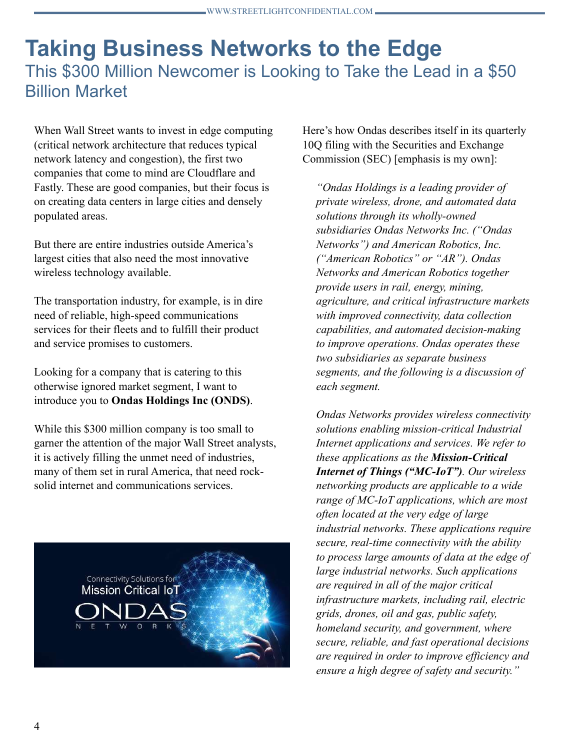## **Taking Business Networks to the Edge** This \$300 Million Newcomer is Looking to Take the Lead in a \$50 Billion Market

When Wall Street wants to invest in edge computing (critical network architecture that reduces typical network latency and congestion), the first two companies that come to mind are Cloudflare and Fastly. These are good companies, but their focus is on creating data centers in large cities and densely populated areas.

But there are entire industries outside America's largest cities that also need the most innovative wireless technology available.

The transportation industry, for example, is in dire need of reliable, high-speed communications services for their fleets and to fulfill their product and service promises to customers.

Looking for a company that is catering to this otherwise ignored market segment, I want to introduce you to **Ondas Holdings Inc (ONDS)**.

While this \$300 million company is too small to garner the attention of the major Wall Street analysts, it is actively filling the unmet need of industries, many of them set in rural America, that need rocksolid internet and communications services.



Here's how Ondas describes itself in its quarterly 10Q filing with the Securities and Exchange Commission (SEC) [emphasis is my own]:

*"Ondas Holdings is a leading provider of private wireless, drone, and automated data solutions through its wholly-owned subsidiaries Ondas Networks Inc. ("Ondas Networks") and American Robotics, Inc. ("American Robotics" or "AR"). Ondas Networks and American Robotics together provide users in rail, energy, mining, agriculture, and critical infrastructure markets with improved connectivity, data collection capabilities, and automated decision-making to improve operations. Ondas operates these two subsidiaries as separate business segments, and the following is a discussion of each segment.*

*Ondas Networks provides wireless connectivity solutions enabling mission-critical Industrial Internet applications and services. We refer to these applications as the Mission-Critical Internet of Things ("MC-IoT"). Our wireless networking products are applicable to a wide range of MC-IoT applications, which are most often located at the very edge of large industrial networks. These applications require secure, real-time connectivity with the ability to process large amounts of data at the edge of large industrial networks. Such applications are required in all of the major critical infrastructure markets, including rail, electric grids, drones, oil and gas, public safety, homeland security, and government, where secure, reliable, and fast operational decisions are required in order to improve efficiency and ensure a high degree of safety and security."*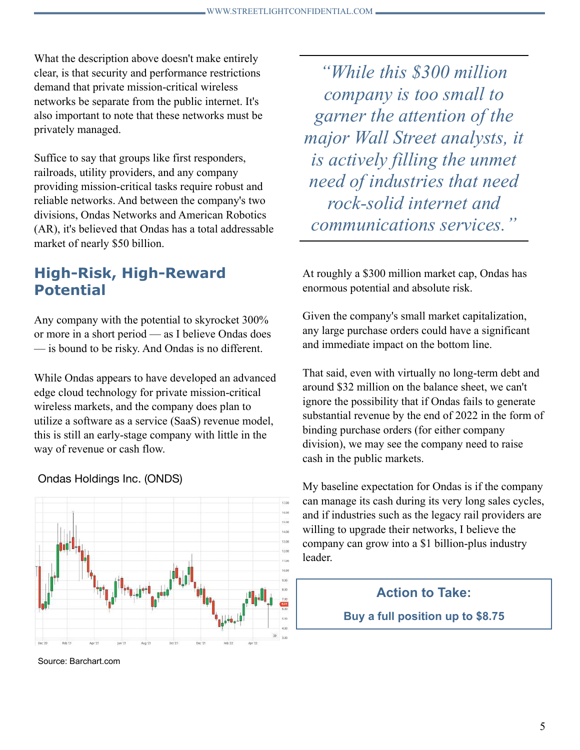What the description above doesn't make entirely clear, is that security and performance restrictions demand that private mission-critical wireless networks be separate from the public internet. It's also important to note that these networks must be privately managed.

Suffice to say that groups like first responders, railroads, utility providers, and any company providing mission-critical tasks require robust and reliable networks. And between the company's two divisions, Ondas Networks and American Robotics (AR), it's believed that Ondas has a total addressable market of nearly \$50 billion.

#### **High-Risk, High-Reward Potential**

Any company with the potential to skyrocket 300% or more in a short period — as I believe Ondas does — is bound to be risky. And Ondas is no different.

While Ondas appears to have developed an advanced edge cloud technology for private mission-critical wireless markets, and the company does plan to utilize a software as a service (SaaS) revenue model, this is still an early-stage company with little in the way of revenue or cash flow.

Ondas Holdings Inc. (ONDS)



Source: Barchart.com

*"While this \$300 million company is too small to garner the attention of the major Wall Street analysts, it is actively filling the unmet need of industries that need rock-solid internet and communications services."*

At roughly a \$300 million market cap, Ondas has enormous potential and absolute risk.

Given the company's small market capitalization, any large purchase orders could have a significant and immediate impact on the bottom line.

That said, even with virtually no long-term debt and around \$32 million on the balance sheet, we can't ignore the possibility that if Ondas fails to generate substantial revenue by the end of 2022 in the form of binding purchase orders (for either company division), we may see the company need to raise cash in the public markets.

My baseline expectation for Ondas is if the company can manage its cash during its very long sales cycles, and if industries such as the legacy rail providers are willing to upgrade their networks, I believe the company can grow into a \$1 billion-plus industry leader.



**Buy a full position up to \$8.75**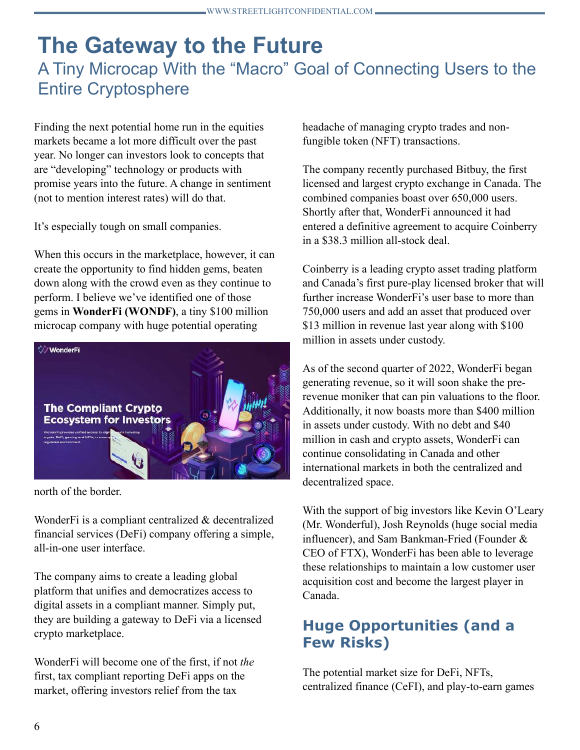## **The Gateway to the Future** A Tiny Microcap With the "Macro" Goal of Connecting Users to the Entire Cryptosphere

Finding the next potential home run in the equities markets became a lot more difficult over the past year. No longer can investors look to concepts that are "developing" technology or products with promise years into the future. A change in sentiment (not to mention interest rates) will do that.

It's especially tough on small companies.

When this occurs in the marketplace, however, it can create the opportunity to find hidden gems, beaten down along with the crowd even as they continue to perform. I believe we've identified one of those gems in **WonderFi (WONDF)**, a tiny \$100 million microcap company with huge potential operating



north of the border.

WonderFi is a compliant centralized & decentralized financial services (DeFi) company offering a simple, all-in-one user interface.

The company aims to create a leading global platform that unifies and democratizes access to digital assets in a compliant manner. Simply put, they are building a gateway to DeFi via a licensed crypto marketplace.

WonderFi will become one of the first, if not *the* first, tax compliant reporting DeFi apps on the market, offering investors relief from the tax

headache of managing crypto trades and nonfungible token (NFT) transactions.

The company recently purchased Bitbuy, the first licensed and largest crypto exchange in Canada. The combined companies boast over 650,000 users. Shortly after that, WonderFi announced it had entered a definitive agreement to acquire Coinberry in a \$38.3 million all-stock deal.

Coinberry is a leading crypto asset trading platform and Canada's first pure-play licensed broker that will further increase WonderFi's user base to more than 750,000 users and add an asset that produced over \$13 million in revenue last year along with \$100 million in assets under custody.

As of the second quarter of 2022, WonderFi began generating revenue, so it will soon shake the prerevenue moniker that can pin valuations to the floor. Additionally, it now boasts more than \$400 million in assets under custody. With no debt and \$40 million in cash and crypto assets, WonderFi can continue consolidating in Canada and other international markets in both the centralized and decentralized space.

With the support of big investors like Kevin O'Leary (Mr. Wonderful), Josh Reynolds (huge social media influencer), and Sam Bankman-Fried (Founder & CEO of FTX), WonderFi has been able to leverage these relationships to maintain a low customer user acquisition cost and become the largest player in Canada.

#### **Huge Opportunities (and a Few Risks)**

The potential market size for DeFi, NFTs, centralized finance (CeFI), and play-to-earn games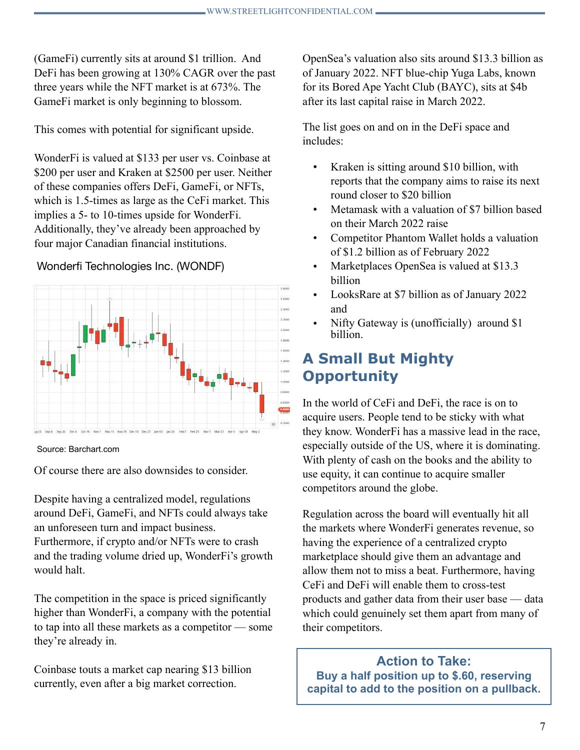(GameFi) currently sits at around \$1 trillion. And DeFi has been growing at 130% CAGR over the past three years while the NFT market is at 673%. The GameFi market is only beginning to blossom.

This comes with potential for significant upside.

WonderFi is valued at \$133 per user vs. Coinbase at \$200 per user and Kraken at \$2500 per user. Neither of these companies offers DeFi, GameFi, or NFTs, which is 1.5-times as large as the CeFi market. This implies a 5- to 10-times upside for WonderFi. Additionally, they've already been approached by four major Canadian financial institutions.

#### Wonderfi Technologies Inc. (WONDF)



Source: Barchart.com

Of course there are also downsides to consider.

Despite having a centralized model, regulations around DeFi, GameFi, and NFTs could always take an unforeseen turn and impact business. Furthermore, if crypto and/or NFTs were to crash and the trading volume dried up, WonderFi's growth would halt.

The competition in the space is priced significantly higher than WonderFi, a company with the potential to tap into all these markets as a competitor — some they're already in.

Coinbase touts a market cap nearing \$13 billion currently, even after a big market correction.

OpenSea's valuation also sits around \$13.3 billion as of January 2022. NFT blue-chip Yuga Labs, known for its Bored Ape Yacht Club (BAYC), sits at \$4b after its last capital raise in March 2022.

The list goes on and on in the DeFi space and includes:

- Kraken is sitting around \$10 billion, with reports that the company aims to raise its next round closer to \$20 billion
- Metamask with a valuation of \$7 billion based on their March 2022 raise
- Competitor Phantom Wallet holds a valuation of \$1.2 billion as of February 2022
- Marketplaces OpenSea is valued at \$13.3 billion
- LooksRare at \$7 billion as of January 2022 and
- Nifty Gateway is (unofficially) around \$1 billion.

## **A Small But Mighty Opportunity**

In the world of CeFi and DeFi, the race is on to acquire users. People tend to be sticky with what they know. WonderFi has a massive lead in the race, especially outside of the US, where it is dominating. With plenty of cash on the books and the ability to use equity, it can continue to acquire smaller competitors around the globe.

Regulation across the board will eventually hit all the markets where WonderFi generates revenue, so having the experience of a centralized crypto marketplace should give them an advantage and allow them not to miss a beat. Furthermore, having CeFi and DeFi will enable them to cross-test products and gather data from their user base — data which could genuinely set them apart from many of their competitors.

**Action to Take: Buy a half position up to \$.60, reserving capital to add to the position on a pullback.**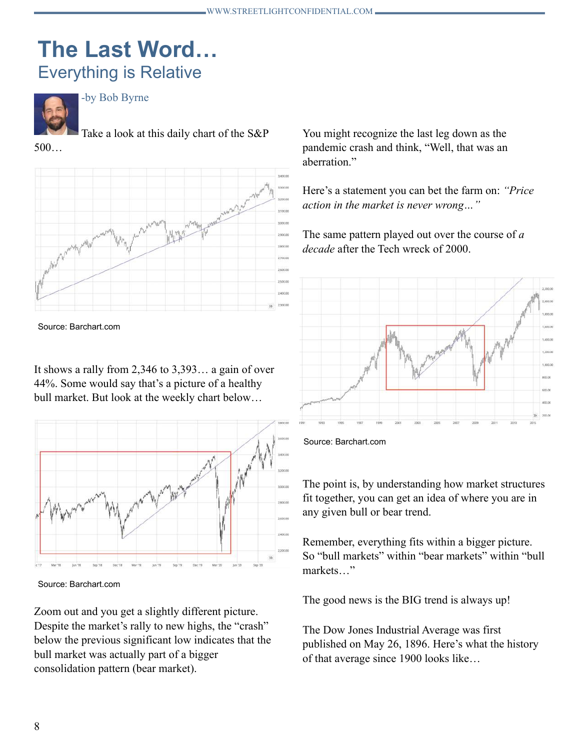## **The Last Word…** Everything is Relative



-by Bob Byrne

Take a look at this daily chart of the S&P

500…



Source: Barchart.com

It shows a rally from 2,346 to 3,393… a gain of over 44%. Some would say that's a picture of a healthy bull market. But look at the weekly chart below…



Source: Barchart.com

Zoom out and you get a slightly different picture. Despite the market's rally to new highs, the "crash" below the previous significant low indicates that the bull market was actually part of a bigger consolidation pattern (bear market).

You might recognize the last leg down as the pandemic crash and think, "Well, that was an aberration."

Here's a statement you can bet the farm on: *"Price action in the market is never wrong…"*

The same pattern played out over the course of *a decade* after the Tech wreck of 2000.



Source: Barchart.com

The point is, by understanding how market structures fit together, you can get an idea of where you are in any given bull or bear trend.

Remember, everything fits within a bigger picture. So "bull markets" within "bear markets" within "bull markets "

The good news is the BIG trend is always up!

The Dow Jones Industrial Average was first published on May 26, 1896. Here's what the history of that average since 1900 looks like…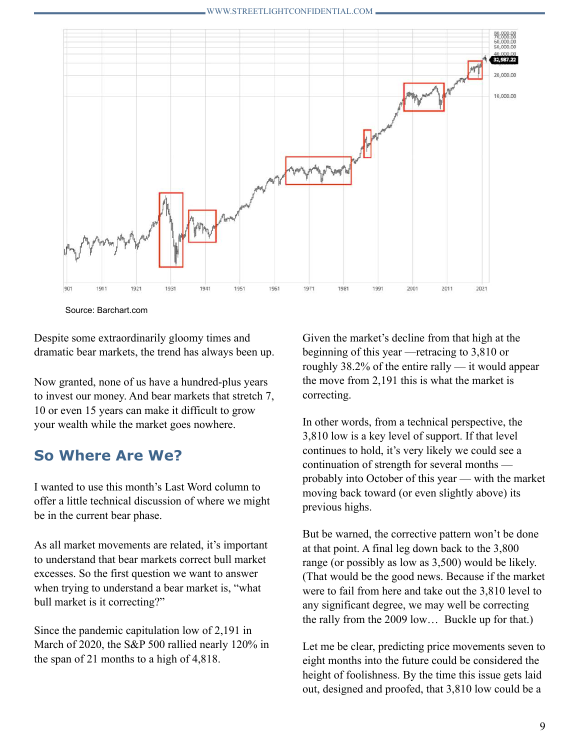

Source: Barchart.com

Despite some extraordinarily gloomy times and dramatic bear markets, the trend has always been up.

Now granted, none of us have a hundred-plus years to invest our money. And bear markets that stretch 7, 10 or even 15 years can make it difficult to grow your wealth while the market goes nowhere.

#### **So Where Are We?**

I wanted to use this month's Last Word column to offer a little technical discussion of where we might be in the current bear phase.

As all market movements are related, it's important to understand that bear markets correct bull market excesses. So the first question we want to answer when trying to understand a bear market is, "what bull market is it correcting?"

Since the pandemic capitulation low of 2,191 in March of 2020, the S&P 500 rallied nearly 120% in the span of 21 months to a high of 4,818.

Given the market's decline from that high at the beginning of this year —retracing to 3,810 or roughly 38.2% of the entire rally — it would appear the move from 2,191 this is what the market is correcting.

In other words, from a technical perspective, the 3,810 low is a key level of support. If that level continues to hold, it's very likely we could see a continuation of strength for several months probably into October of this year — with the market moving back toward (or even slightly above) its previous highs.

But be warned, the corrective pattern won't be done at that point. A final leg down back to the 3,800 range (or possibly as low as 3,500) would be likely. (That would be the good news. Because if the market were to fail from here and take out the 3,810 level to any significant degree, we may well be correcting the rally from the 2009 low… Buckle up for that.)

Let me be clear, predicting price movements seven to eight months into the future could be considered the height of foolishness. By the time this issue gets laid out, designed and proofed, that 3,810 low could be a